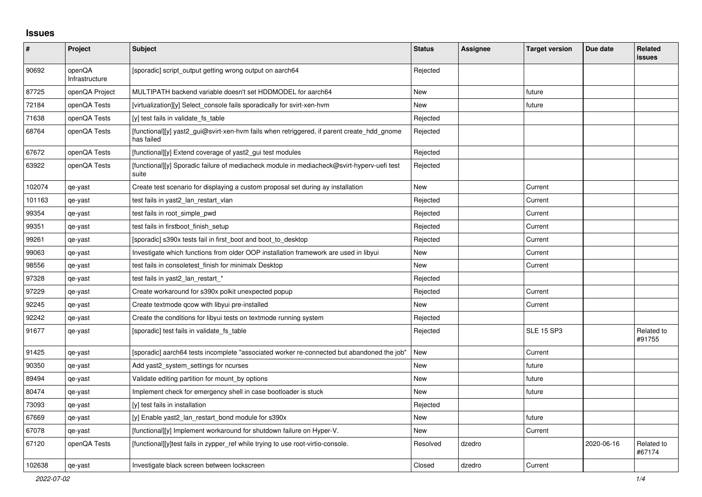## **Issues**

| #      | Project                  | <b>Subject</b>                                                                                           | <b>Status</b> | <b>Assignee</b> | <b>Target version</b> | Due date   | Related<br><b>issues</b> |
|--------|--------------------------|----------------------------------------------------------------------------------------------------------|---------------|-----------------|-----------------------|------------|--------------------------|
| 90692  | openQA<br>Infrastructure | [sporadic] script_output getting wrong output on aarch64                                                 | Rejected      |                 |                       |            |                          |
| 87725  | openQA Project           | MULTIPATH backend variable doesn't set HDDMODEL for aarch64                                              | <b>New</b>    |                 | future                |            |                          |
| 72184  | openQA Tests             | [virtualization][y] Select console fails sporadically for svirt-xen-hym                                  | New           |                 | future                |            |                          |
| 71638  | openQA Tests             | [y] test fails in validate_fs_table                                                                      | Rejected      |                 |                       |            |                          |
| 68764  | openQA Tests             | [functional][y] yast2_gui@svirt-xen-hvm fails when retriggered, if parent create_hdd_gnome<br>has failed | Rejected      |                 |                       |            |                          |
| 67672  | openQA Tests             | [functional][y] Extend coverage of yast2_gui test modules                                                | Rejected      |                 |                       |            |                          |
| 63922  | openQA Tests             | [functional][y] Sporadic failure of mediacheck module in mediacheck@svirt-hyperv-uefi test<br>suite      | Rejected      |                 |                       |            |                          |
| 102074 | qe-yast                  | Create test scenario for displaying a custom proposal set during ay installation                         | <b>New</b>    |                 | Current               |            |                          |
| 101163 | qe-yast                  | test fails in yast2_lan_restart_vlan                                                                     | Rejected      |                 | Current               |            |                          |
| 99354  | qe-yast                  | test fails in root_simple_pwd                                                                            | Rejected      |                 | Current               |            |                          |
| 99351  | qe-yast                  | test fails in firstboot_finish_setup                                                                     | Rejected      |                 | Current               |            |                          |
| 99261  | qe-yast                  | [sporadic] s390x tests fail in first boot and boot to desktop                                            | Rejected      |                 | Current               |            |                          |
| 99063  | qe-yast                  | Investigate which functions from older OOP installation framework are used in libyui                     | <b>New</b>    |                 | Current               |            |                          |
| 98556  | qe-yast                  | test fails in consoletest finish for minimalx Desktop                                                    | New           |                 | Current               |            |                          |
| 97328  | qe-yast                  | test fails in yast2 lan restart *                                                                        | Rejected      |                 |                       |            |                          |
| 97229  | qe-yast                  | Create workaround for s390x polkit unexpected popup                                                      | Rejected      |                 | Current               |            |                          |
| 92245  | qe-yast                  | Create textmode gcow with libyui pre-installed                                                           | New           |                 | Current               |            |                          |
| 92242  | qe-yast                  | Create the conditions for libyui tests on textmode running system                                        | Rejected      |                 |                       |            |                          |
| 91677  | qe-yast                  | [sporadic] test fails in validate_fs_table                                                               | Rejected      |                 | <b>SLE 15 SP3</b>     |            | Related to<br>#91755     |
| 91425  | qe-yast                  | [sporadic] aarch64 tests incomplete "associated worker re-connected but abandoned the job"               | New           |                 | Current               |            |                          |
| 90350  | qe-yast                  | Add yast2 system settings for ncurses                                                                    | <b>New</b>    |                 | future                |            |                          |
| 89494  | qe-yast                  | Validate editing partition for mount by options                                                          | New           |                 | future                |            |                          |
| 80474  | qe-yast                  | Implement check for emergency shell in case bootloader is stuck                                          | New           |                 | future                |            |                          |
| 73093  | qe-yast                  | [y] test fails in installation                                                                           | Rejected      |                 |                       |            |                          |
| 67669  | qe-yast                  | [y] Enable yast2_lan_restart_bond module for s390x                                                       | <b>New</b>    |                 | future                |            |                          |
| 67078  | qe-yast                  | [functional][y] Implement workaround for shutdown failure on Hyper-V.                                    | New           |                 | Current               |            |                          |
| 67120  | openQA Tests             | [functional][y]test fails in zypper_ref while trying to use root-virtio-console.                         | Resolved      | dzedro          |                       | 2020-06-16 | Related to<br>#67174     |
| 102638 | qe-yast                  | Investigate black screen between lockscreen                                                              | Closed        | dzedro          | Current               |            |                          |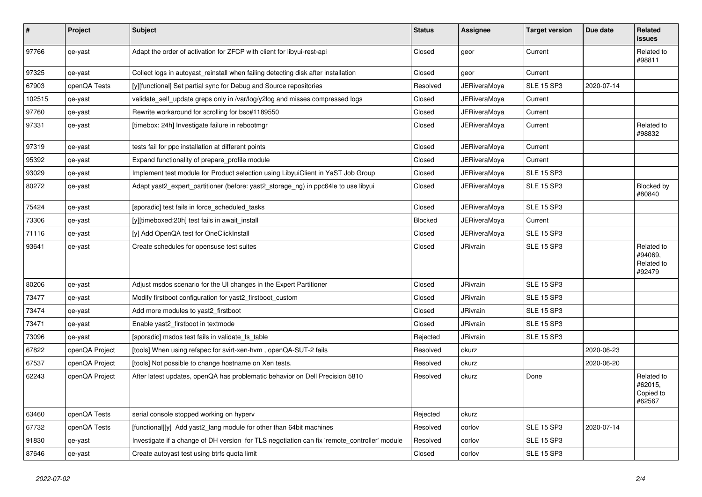| $\sharp$ | Project        | <b>Subject</b>                                                                               | <b>Status</b> | Assignee            | <b>Target version</b> | Due date   | Related<br><b>issues</b>                      |
|----------|----------------|----------------------------------------------------------------------------------------------|---------------|---------------------|-----------------------|------------|-----------------------------------------------|
| 97766    | qe-yast        | Adapt the order of activation for ZFCP with client for libyui-rest-api                       | Closed        | geor                | Current               |            | Related to<br>#98811                          |
| 97325    | qe-yast        | Collect logs in autoyast reinstall when failing detecting disk after installation            | Closed        | geor                | Current               |            |                                               |
| 67903    | openQA Tests   | [y][functional] Set partial sync for Debug and Source repositories                           | Resolved      | <b>JERiveraMoya</b> | <b>SLE 15 SP3</b>     | 2020-07-14 |                                               |
| 102515   | qe-yast        | validate_self_update greps only in /var/log/y2log and misses compressed logs                 | Closed        | JERiveraMoya        | Current               |            |                                               |
| 97760    | qe-yast        | Rewrite workaround for scrolling for bsc#1189550                                             | Closed        | <b>JERiveraMoya</b> | Current               |            |                                               |
| 97331    | qe-yast        | [timebox: 24h] Investigate failure in rebootmgr                                              | Closed        | JERiveraMoya        | Current               |            | Related to<br>#98832                          |
| 97319    | qe-yast        | tests fail for ppc installation at different points                                          | Closed        | JERiveraMoya        | Current               |            |                                               |
| 95392    | qe-yast        | Expand functionality of prepare_profile module                                               | Closed        | JERiveraMoya        | Current               |            |                                               |
| 93029    | qe-yast        | Implement test module for Product selection using LibyuiClient in YaST Job Group             | Closed        | JERiveraMoya        | <b>SLE 15 SP3</b>     |            |                                               |
| 80272    | qe-yast        | Adapt yast2_expert_partitioner (before: yast2_storage_ng) in ppc64le to use libyui           | Closed        | <b>JERiveraMoya</b> | <b>SLE 15 SP3</b>     |            | Blocked by<br>#80840                          |
| 75424    | qe-yast        | [sporadic] test fails in force_scheduled_tasks                                               | Closed        | <b>JERiveraMoya</b> | <b>SLE 15 SP3</b>     |            |                                               |
| 73306    | qe-yast        | [y][timeboxed:20h] test fails in await_install                                               | Blocked       | <b>JERiveraMova</b> | Current               |            |                                               |
| 71116    | qe-yast        | [y] Add OpenQA test for OneClickInstall                                                      | Closed        | JERiveraMoya        | <b>SLE 15 SP3</b>     |            |                                               |
| 93641    | qe-yast        | Create schedules for opensuse test suites                                                    | Closed        | <b>JRivrain</b>     | <b>SLE 15 SP3</b>     |            | Related to<br>#94069.<br>Related to<br>#92479 |
| 80206    | qe-yast        | Adjust msdos scenario for the UI changes in the Expert Partitioner                           | Closed        | <b>JRivrain</b>     | <b>SLE 15 SP3</b>     |            |                                               |
| 73477    | qe-yast        | Modify firstboot configuration for yast2_firstboot_custom                                    | Closed        | <b>JRivrain</b>     | <b>SLE 15 SP3</b>     |            |                                               |
| 73474    | qe-yast        | Add more modules to yast2_firstboot                                                          | Closed        | <b>JRivrain</b>     | <b>SLE 15 SP3</b>     |            |                                               |
| 73471    | qe-yast        | Enable yast2 firstboot in textmode                                                           | Closed        | <b>JRivrain</b>     | <b>SLE 15 SP3</b>     |            |                                               |
| 73096    | qe-yast        | [sporadic] msdos test fails in validate fs table                                             | Rejected      | JRivrain            | <b>SLE 15 SP3</b>     |            |                                               |
| 67822    | openQA Project | [tools] When using refspec for svirt-xen-hvm, openQA-SUT-2 fails                             | Resolved      | okurz               |                       | 2020-06-23 |                                               |
| 67537    | openQA Project | [tools] Not possible to change hostname on Xen tests.                                        | Resolved      | okurz               |                       | 2020-06-20 |                                               |
| 62243    | openQA Project | After latest updates, openQA has problematic behavior on Dell Precision 5810                 | Resolved      | okurz               | Done                  |            | Related to<br>#62015,<br>Copied to<br>#62567  |
| 63460    | openQA Tests   | serial console stopped working on hyperv                                                     | Rejected      | okurz               |                       |            |                                               |
| 67732    | openQA Tests   | [functional][y] Add yast2_lang module for other than 64bit machines                          | Resolved      | oorlov              | <b>SLE 15 SP3</b>     | 2020-07-14 |                                               |
| 91830    | qe-yast        | Investigate if a change of DH version for TLS negotiation can fix 'remote_controller' module | Resolved      | oorlov              | <b>SLE 15 SP3</b>     |            |                                               |
| 87646    | qe-yast        | Create autoyast test using btrfs quota limit                                                 | Closed        | oorlov              | <b>SLE 15 SP3</b>     |            |                                               |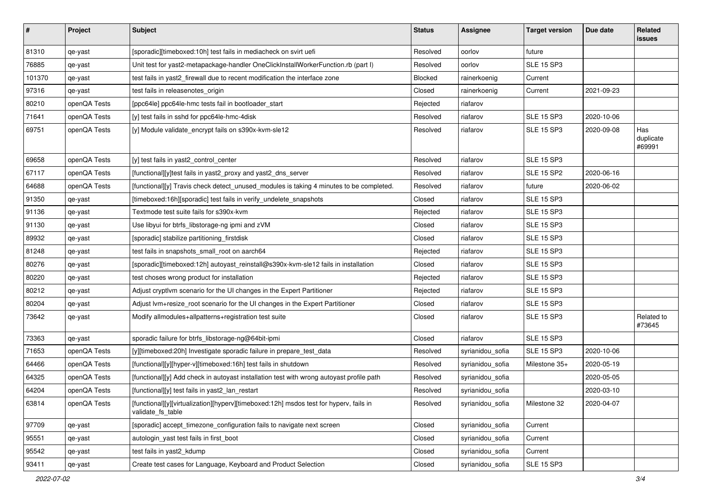| $\sharp$ | Project      | Subject                                                                                                     | <b>Status</b> | <b>Assignee</b>  | <b>Target version</b> | Due date   | Related<br>issues          |
|----------|--------------|-------------------------------------------------------------------------------------------------------------|---------------|------------------|-----------------------|------------|----------------------------|
| 81310    | qe-yast      | [sporadic][timeboxed:10h] test fails in mediacheck on svirt uefi                                            | Resolved      | oorlov           | future                |            |                            |
| 76885    | qe-yast      | Unit test for yast2-metapackage-handler OneClickInstallWorkerFunction.rb (part I)                           | Resolved      | oorlov           | <b>SLE 15 SP3</b>     |            |                            |
| 101370   | qe-yast      | test fails in yast2_firewall due to recent modification the interface zone                                  | Blocked       | rainerkoenig     | Current               |            |                            |
| 97316    | qe-yast      | test fails in releasenotes_origin                                                                           | Closed        | rainerkoenig     | Current               | 2021-09-23 |                            |
| 80210    | openQA Tests | [ppc64le] ppc64le-hmc tests fail in bootloader start                                                        | Rejected      | riafarov         |                       |            |                            |
| 71641    | openQA Tests | [y] test fails in sshd for ppc64le-hmc-4disk                                                                | Resolved      | riafarov         | <b>SLE 15 SP3</b>     | 2020-10-06 |                            |
| 69751    | openQA Tests | [y] Module validate_encrypt fails on s390x-kvm-sle12                                                        | Resolved      | riafarov         | <b>SLE 15 SP3</b>     | 2020-09-08 | Has<br>duplicate<br>#69991 |
| 69658    | openQA Tests | [y] test fails in yast2_control_center                                                                      | Resolved      | riafarov         | <b>SLE 15 SP3</b>     |            |                            |
| 67117    | openQA Tests | [functional][y]test fails in yast2_proxy and yast2_dns_server                                               | Resolved      | riafarov         | <b>SLE 15 SP2</b>     | 2020-06-16 |                            |
| 64688    | openQA Tests | [functional][y] Travis check detect_unused_modules is taking 4 minutes to be completed.                     | Resolved      | riafarov         | future                | 2020-06-02 |                            |
| 91350    | qe-yast      | [timeboxed:16h][sporadic] test fails in verify_undelete_snapshots                                           | Closed        | riafarov         | <b>SLE 15 SP3</b>     |            |                            |
| 91136    | qe-yast      | Textmode test suite fails for s390x-kvm                                                                     | Rejected      | riafarov         | <b>SLE 15 SP3</b>     |            |                            |
| 91130    | qe-yast      | Use libyui for btrfs_libstorage-ng ipmi and zVM                                                             | Closed        | riafarov         | <b>SLE 15 SP3</b>     |            |                            |
| 89932    | qe-yast      | [sporadic] stabilize partitioning_firstdisk                                                                 | Closed        | riafarov         | <b>SLE 15 SP3</b>     |            |                            |
| 81248    | qe-yast      | test fails in snapshots_small_root on aarch64                                                               | Rejected      | riafarov         | <b>SLE 15 SP3</b>     |            |                            |
| 80276    | qe-yast      | [sporadic][timeboxed:12h] autoyast_reinstall@s390x-kvm-sle12 fails in installation                          | Closed        | riafarov         | <b>SLE 15 SP3</b>     |            |                            |
| 80220    | qe-yast      | test choses wrong product for installation                                                                  | Rejected      | riafarov         | <b>SLE 15 SP3</b>     |            |                            |
| 80212    | qe-yast      | Adjust cryptivm scenario for the UI changes in the Expert Partitioner                                       | Rejected      | riafarov         | <b>SLE 15 SP3</b>     |            |                            |
| 80204    | qe-yast      | Adjust lvm+resize_root scenario for the UI changes in the Expert Partitioner                                | Closed        | riafarov         | <b>SLE 15 SP3</b>     |            |                            |
| 73642    | qe-yast      | Modify allmodules+allpatterns+registration test suite                                                       | Closed        | riafarov         | <b>SLE 15 SP3</b>     |            | Related to<br>#73645       |
| 73363    | qe-yast      | sporadic failure for btrfs_libstorage-ng@64bit-ipmi                                                         | Closed        | riafarov         | <b>SLE 15 SP3</b>     |            |                            |
| 71653    | openQA Tests | [y][timeboxed:20h] Investigate sporadic failure in prepare_test_data                                        | Resolved      | syrianidou_sofia | <b>SLE 15 SP3</b>     | 2020-10-06 |                            |
| 64466    | openQA Tests | [functional][y][hyper-v][timeboxed:16h] test fails in shutdown                                              | Resolved      | syrianidou_sofia | Milestone 35+         | 2020-05-19 |                            |
| 64325    | openQA Tests | [functional][y] Add check in autoyast installation test with wrong autoyast profile path                    | Resolved      | syrianidou_sofia |                       | 2020-05-05 |                            |
| 64204    | openQA Tests | [functional][y] test fails in yast2_lan_restart                                                             | Resolved      | syrianidou_sofia |                       | 2020-03-10 |                            |
| 63814    | openQA Tests | [functional][y][virtualization][hyperv][timeboxed:12h] msdos test for hyperv, fails in<br>validate_fs_table | Resolved      | syrianidou_sofia | Milestone 32          | 2020-04-07 |                            |
| 97709    | qe-yast      | [sporadic] accept_timezone_configuration fails to navigate next screen                                      | Closed        | syrianidou_sofia | Current               |            |                            |
| 95551    | qe-yast      | autologin_yast test fails in first_boot                                                                     | Closed        | syrianidou_sofia | Current               |            |                            |
| 95542    | qe-yast      | test fails in yast2_kdump                                                                                   | Closed        | syrianidou_sofia | Current               |            |                            |
| 93411    | qe-yast      | Create test cases for Language, Keyboard and Product Selection                                              | Closed        | syrianidou_sofia | <b>SLE 15 SP3</b>     |            |                            |